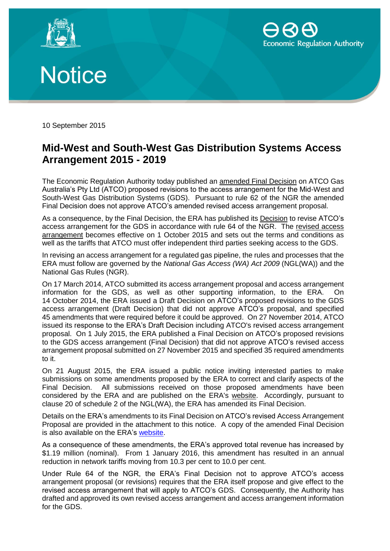





10 September 2015

# **Mid-West and South-West Gas Distribution Systems Access Arrangement 2015 - 2019**

The Economic Regulation Authority today published an amended Final Decision on ATCO Gas Australia's Pty Ltd (ATCO) proposed revisions to the access arrangement for the Mid-West and South-West Gas Distribution Systems (GDS). Pursuant to rule 62 of the NGR the amended Final Decision does not approve ATCO's amended revised access arrangement proposal.

As a consequence, by the Final Decision, the ERA has published its Decision to revise ATCO's access arrangement for the GDS in accordance with rule 64 of the NGR. The revised access arrangement becomes effective on 1 October 2015 and sets out the terms and conditions as well as the tariffs that ATCO must offer independent third parties seeking access to the GDS.

In revising an access arrangement for a regulated gas pipeline, the rules and processes that the ERA must follow are governed by the *National Gas Access (WA) Act 2009* (NGL(WA)) and the National Gas Rules (NGR).

On 17 March 2014, ATCO submitted its access arrangement proposal and access arrangement information for the GDS, as well as other supporting information, to the ERA. On 14 October 2014, the ERA issued a Draft Decision on ATCO's proposed revisions to the GDS access arrangement (Draft Decision) that did not approve ATCO's proposal, and specified 45 amendments that were required before it could be approved. On 27 November 2014, ATCO issued its response to the ERA's Draft Decision including ATCO's revised access arrangement proposal. On 1 July 2015, the ERA published a Final Decision on ATCO's proposed revisions to the GDS access arrangement (Final Decision) that did not approve ATCO's revised access arrangement proposal submitted on 27 November 2015 and specified 35 required amendments to it.

On 21 August 2015, the ERA issued a public notice inviting interested parties to make submissions on some amendments proposed by the ERA to correct and clarify aspects of the Final Decision. All submissions received on those proposed amendments have been considered by the ERA and are published on the ERA's website. Accordingly, pursuant to clause 20 of schedule 2 of the NGL(WA), the ERA has amended its Final Decision.

Details on the ERA's amendments to its Final Decision on ATCO's revised Access Arrangement Proposal are provided in the attachment to this notice. A copy of the amended Final Decision is also available on the ERA's [website.](https://www.erawa.com.au/gas/gas-access/mid-west-and-south-west-gas-distribution-systems/access-arrangements/proposed-access-arrangement-for-period-2014-2019/decisions-and-proposals)

As a consequence of these amendments, the ERA's approved total revenue has increased by \$1.19 million (nominal). From 1 January 2016, this amendment has resulted in an annual reduction in network tariffs moving from 10.3 per cent to 10.0 per cent.

Under Rule 64 of the NGR, the ERA's Final Decision not to approve ATCO's access arrangement proposal (or revisions) requires that the ERA itself propose and give effect to the revised access arrangement that will apply to ATCO's GDS. Consequently, the Authority has drafted and approved its own revised access arrangement and access arrangement information for the GDS.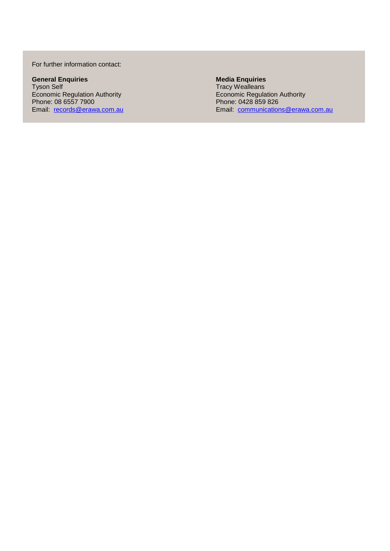#### For further information contact:

**General Enquiries Media Enquiries** Economic Regulation Authority **Economic Regulation Authority** Economic Regulation Authority Phone: 08 6557 7900 Phone: 0428 859 826

Experiment Districts<br>
Tyson Self Tracy Wealleans<br>
Economic Regulation Authority<br>
Phone: 08 6557 7900<br>
Phone: 0428 859 826 Email: [records@erawa.com.au](mailto:%20records@erawa.com.au) extendions [communications@erawa.com.au](mailto:communications@erawa.com.au) Email: communications@erawa.com.au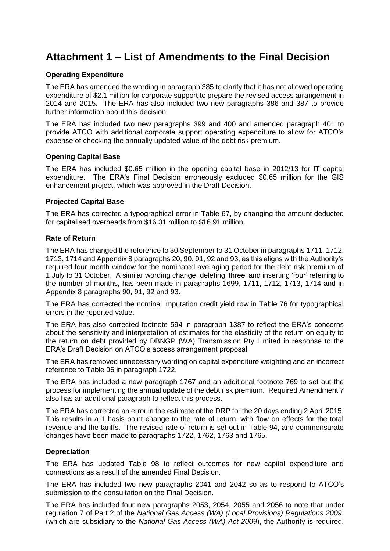# **Attachment 1 – List of Amendments to the Final Decision**

## **Operating Expenditure**

The ERA has amended the wording in paragraph 385 to clarify that it has not allowed operating expenditure of \$2.1 million for corporate support to prepare the revised access arrangement in 2014 and 2015. The ERA has also included two new paragraphs 386 and 387 to provide further information about this decision.

The ERA has included two new paragraphs 399 and 400 and amended paragraph 401 to provide ATCO with additional corporate support operating expenditure to allow for ATCO's expense of checking the annually updated value of the debt risk premium.

## **Opening Capital Base**

The ERA has included \$0.65 million in the opening capital base in 2012/13 for IT capital expenditure. The ERA's Final Decision erroneously excluded \$0.65 million for the GIS enhancement project, which was approved in the Draft Decision.

#### **Projected Capital Base**

The ERA has corrected a typographical error in Table 67, by changing the amount deducted for capitalised overheads from \$16.31 million to \$16.91 million.

#### **Rate of Return**

The ERA has changed the reference to 30 September to 31 October in paragraphs 1711, 1712, 1713, 1714 and Appendix 8 paragraphs 20, 90, 91, 92 and 93, as this aligns with the Authority's required four month window for the nominated averaging period for the debt risk premium of 1 July to 31 October. A similar wording change, deleting 'three' and inserting 'four' referring to the number of months, has been made in paragraphs 1699, 1711, 1712, 1713, 1714 and in Appendix 8 paragraphs 90, 91, 92 and 93.

The ERA has corrected the nominal imputation credit yield row in Table 76 for typographical errors in the reported value.

The ERA has also corrected footnote 594 in paragraph 1387 to reflect the ERA's concerns about the sensitivity and interpretation of estimates for the elasticity of the return on equity to the return on debt provided by DBNGP (WA) Transmission Pty Limited in response to the ERA's Draft Decision on ATCO's access arrangement proposal.

The ERA has removed unnecessary wording on capital expenditure weighting and an incorrect reference to Table 96 in paragraph 1722.

The ERA has included a new paragraph 1767 and an additional footnote 769 to set out the process for implementing the annual update of the debt risk premium. Required Amendment 7 also has an additional paragraph to reflect this process.

The ERA has corrected an error in the estimate of the DRP for the 20 days ending 2 April 2015. This results in a 1 basis point change to the rate of return, with flow on effects for the total revenue and the tariffs. The revised rate of return is set out in Table 94, and commensurate changes have been made to paragraphs 1722, 1762, 1763 and 1765.

#### **Depreciation**

The ERA has updated Table 98 to reflect outcomes for new capital expenditure and connections as a result of the amended Final Decision.

The ERA has included two new paragraphs 2041 and 2042 so as to respond to ATCO's submission to the consultation on the Final Decision.

The ERA has included four new paragraphs 2053, 2054, 2055 and 2056 to note that under regulation 7 of Part 2 of the *National Gas Access (WA) (Local Provisions) Regulations 2009*, (which are subsidiary to the *National Gas Access (WA) Act 2009*), the Authority is required,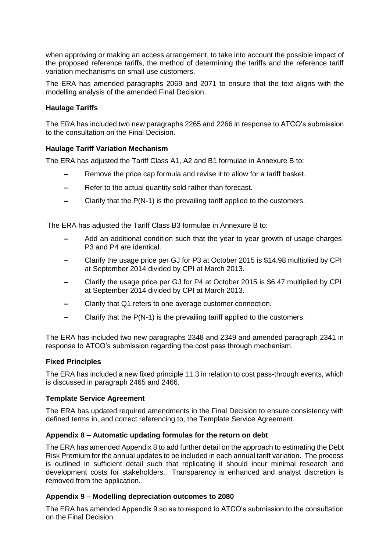when approving or making an access arrangement, to take into account the possible impact of the proposed reference tariffs, the method of determining the tariffs and the reference tariff variation mechanisms on small use customers.

The ERA has amended paragraphs 2069 and 2071 to ensure that the text aligns with the modelling analysis of the amended Final Decision.

## **Haulage Tariffs**

The ERA has included two new paragraphs 2265 and 2266 in response to ATCO's submission to the consultation on the Final Decision.

## **Haulage Tariff Variation Mechanism**

The ERA has adjusted the Tariff Class A1, A2 and B1 formulae in Annexure B to:

- Remove the price cap formula and revise it to allow for a tariff basket.
- Refer to the actual quantity sold rather than forecast.
- Clarify that the P(N-1) is the prevailing tariff applied to the customers.

The ERA has adjusted the Tariff Class B3 formulae in Annexure B to:

- Add an additional condition such that the year to year growth of usage charges P3 and P4 are identical.
- Clarify the usage price per GJ for P3 at October 2015 is \$14.98 multiplied by CPI at September 2014 divided by CPI at March 2013.
- Clarify the usage price per GJ for P4 at October 2015 is \$6.47 multiplied by CPI at September 2014 divided by CPI at March 2013.
- Clarify that Q1 refers to one average customer connection.
- Clarify that the P(N-1) is the prevailing tariff applied to the customers.

The ERA has included two new paragraphs 2348 and 2349 and amended paragraph 2341 in response to ATCO's submission regarding the cost pass through mechanism.

#### **Fixed Principles**

The ERA has included a new fixed principle 11.3 in relation to cost pass-through events, which is discussed in paragraph 2465 and 2466.

## **Template Service Agreement**

The ERA has updated required amendments in the Final Decision to ensure consistency with defined terms in, and correct referencing to, the Template Service Agreement.

#### **Appendix 8 – Automatic updating formulas for the return on debt**

The ERA has amended Appendix 8 to add further detail on the approach to estimating the Debt Risk Premium for the annual updates to be included in each annual tariff variation. The process is outlined in sufficient detail such that replicating it should incur minimal research and development costs for stakeholders. Transparency is enhanced and analyst discretion is removed from the application.

## **Appendix 9 – Modelling depreciation outcomes to 2080**

The ERA has amended Appendix 9 so as to respond to ATCO's submission to the consultation on the Final Decision.